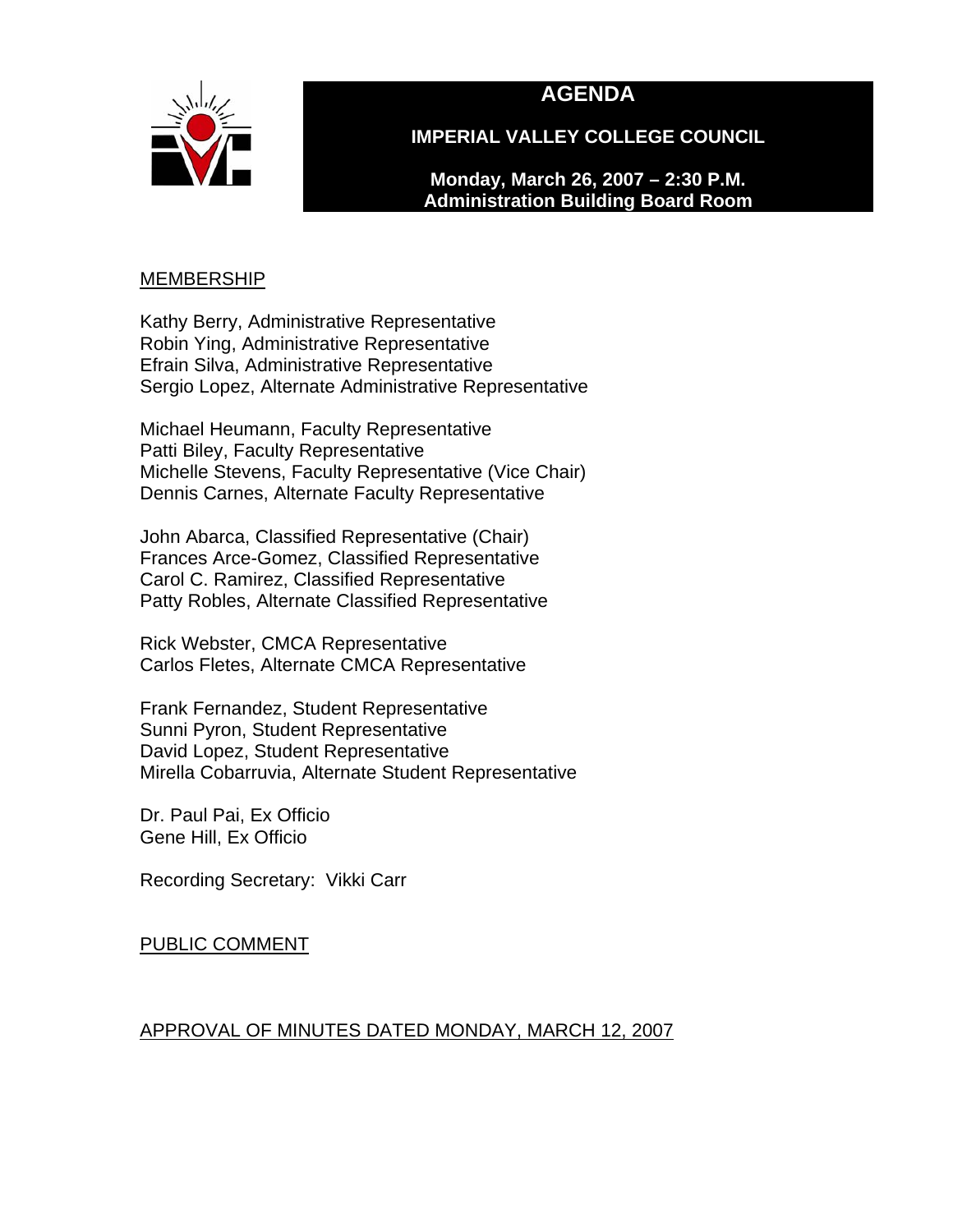

# **AGENDA**

**IMPERIAL VALLEY COLLEGE COUNCIL** 

**Monday, March 26, 2007 – 2:30 P.M. Administration Building Board Room** 

### MEMBERSHIP

Kathy Berry, Administrative Representative Robin Ying, Administrative Representative Efrain Silva, Administrative Representative Sergio Lopez, Alternate Administrative Representative

Michael Heumann, Faculty Representative Patti Biley, Faculty Representative Michelle Stevens, Faculty Representative (Vice Chair) Dennis Carnes, Alternate Faculty Representative

John Abarca, Classified Representative (Chair) Frances Arce-Gomez, Classified Representative Carol C. Ramirez, Classified Representative Patty Robles, Alternate Classified Representative

Rick Webster, CMCA Representative Carlos Fletes, Alternate CMCA Representative

Frank Fernandez, Student Representative Sunni Pyron, Student Representative David Lopez, Student Representative Mirella Cobarruvia, Alternate Student Representative

Dr. Paul Pai, Ex Officio Gene Hill, Ex Officio

Recording Secretary: Vikki Carr

PUBLIC COMMENT

# APPROVAL OF MINUTES DATED MONDAY, MARCH 12, 2007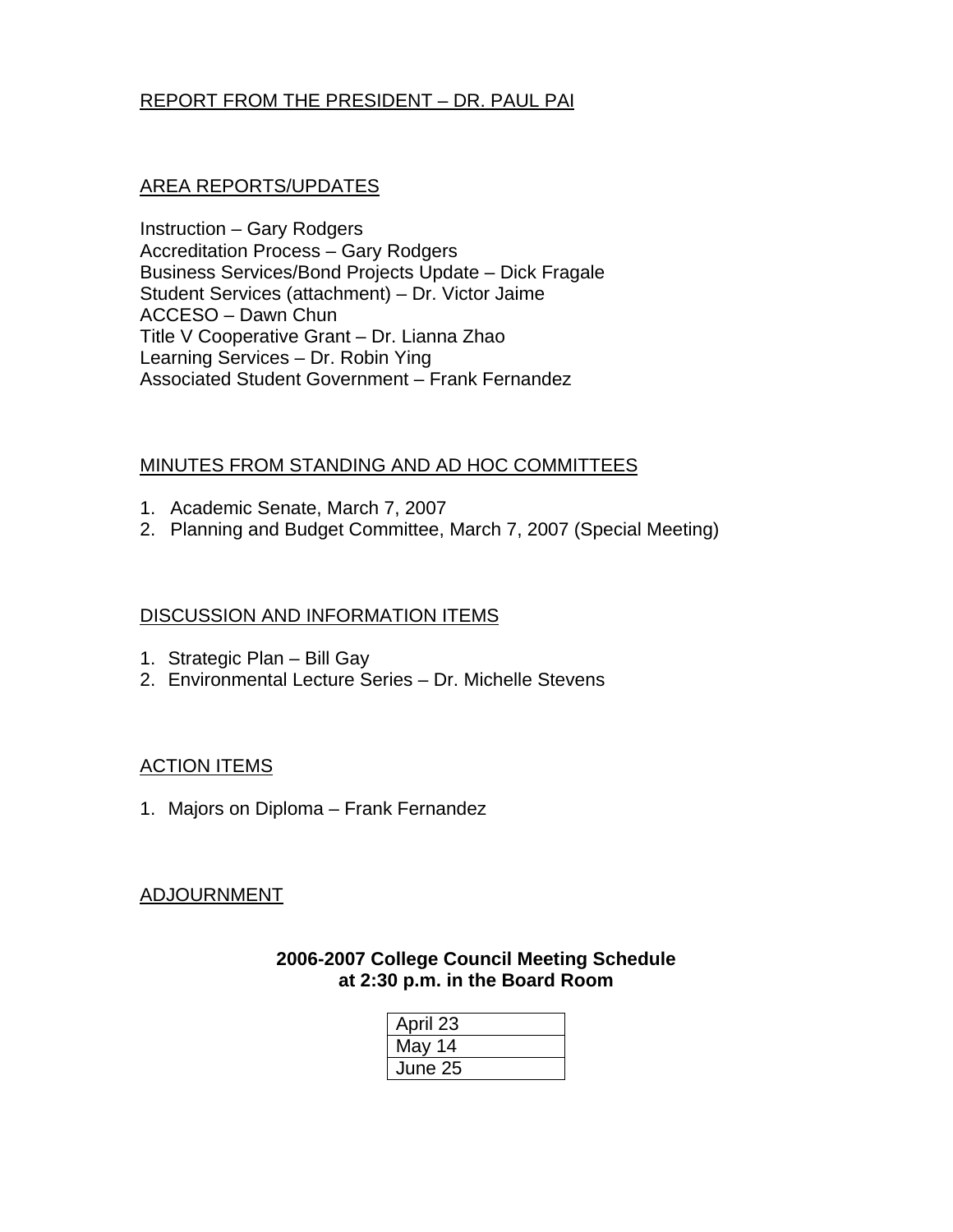# REPORT FROM THE PRESIDENT – DR. PAUL PAI

# AREA REPORTS/UPDATES

Instruction – Gary Rodgers Accreditation Process – Gary Rodgers Business Services/Bond Projects Update – Dick Fragale Student Services (attachment) – Dr. Victor Jaime ACCESO – Dawn Chun Title V Cooperative Grant – Dr. Lianna Zhao Learning Services – Dr. Robin Ying Associated Student Government – Frank Fernandez

# MINUTES FROM STANDING AND AD HOC COMMITTEES

- 1. Academic Senate, March 7, 2007
- 2. Planning and Budget Committee, March 7, 2007 (Special Meeting)

### DISCUSSION AND INFORMATION ITEMS

- 1. Strategic Plan Bill Gay
- 2. Environmental Lecture Series Dr. Michelle Stevens

### ACTION ITEMS

1. Majors on Diploma – Frank Fernandez

### ADJOURNMENT

# **2006-2007 College Council Meeting Schedule at 2:30 p.m. in the Board Room**

| April 23 |  |
|----------|--|
| May 14   |  |
| June 25  |  |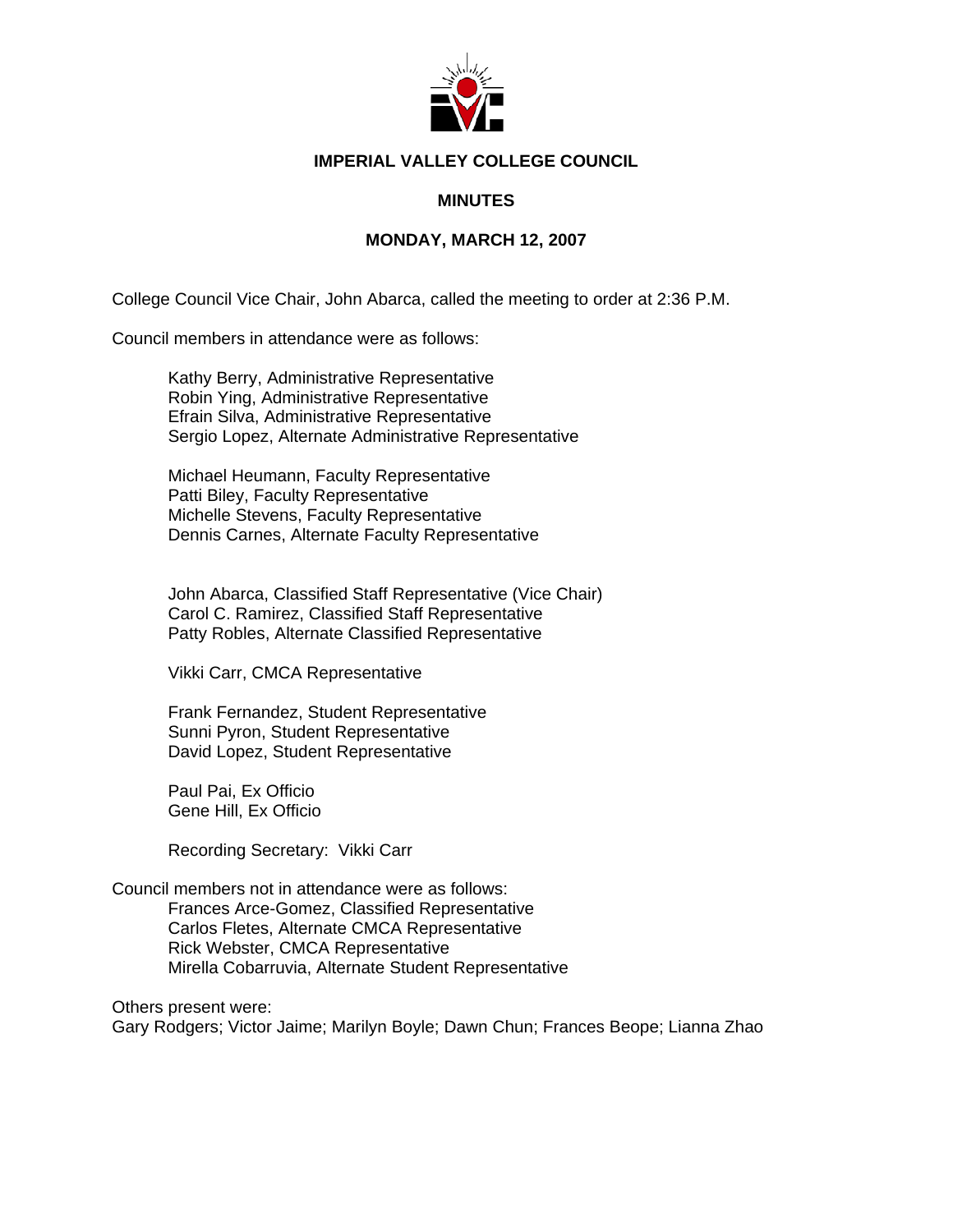

### **IMPERIAL VALLEY COLLEGE COUNCIL**

#### **MINUTES**

### **MONDAY, MARCH 12, 2007**

College Council Vice Chair, John Abarca, called the meeting to order at 2:36 P.M.

Council members in attendance were as follows:

Kathy Berry, Administrative Representative Robin Ying, Administrative Representative Efrain Silva, Administrative Representative Sergio Lopez, Alternate Administrative Representative

Michael Heumann, Faculty Representative Patti Biley, Faculty Representative Michelle Stevens, Faculty Representative Dennis Carnes, Alternate Faculty Representative

John Abarca, Classified Staff Representative (Vice Chair) Carol C. Ramirez, Classified Staff Representative Patty Robles, Alternate Classified Representative

Vikki Carr, CMCA Representative

Frank Fernandez, Student Representative Sunni Pyron, Student Representative David Lopez, Student Representative

Paul Pai, Ex Officio Gene Hill, Ex Officio

Recording Secretary: Vikki Carr

#### Council members not in attendance were as follows: Frances Arce-Gomez, Classified Representative Carlos Fletes, Alternate CMCA Representative Rick Webster, CMCA Representative Mirella Cobarruvia, Alternate Student Representative

Others present were: Gary Rodgers; Victor Jaime; Marilyn Boyle; Dawn Chun; Frances Beope; Lianna Zhao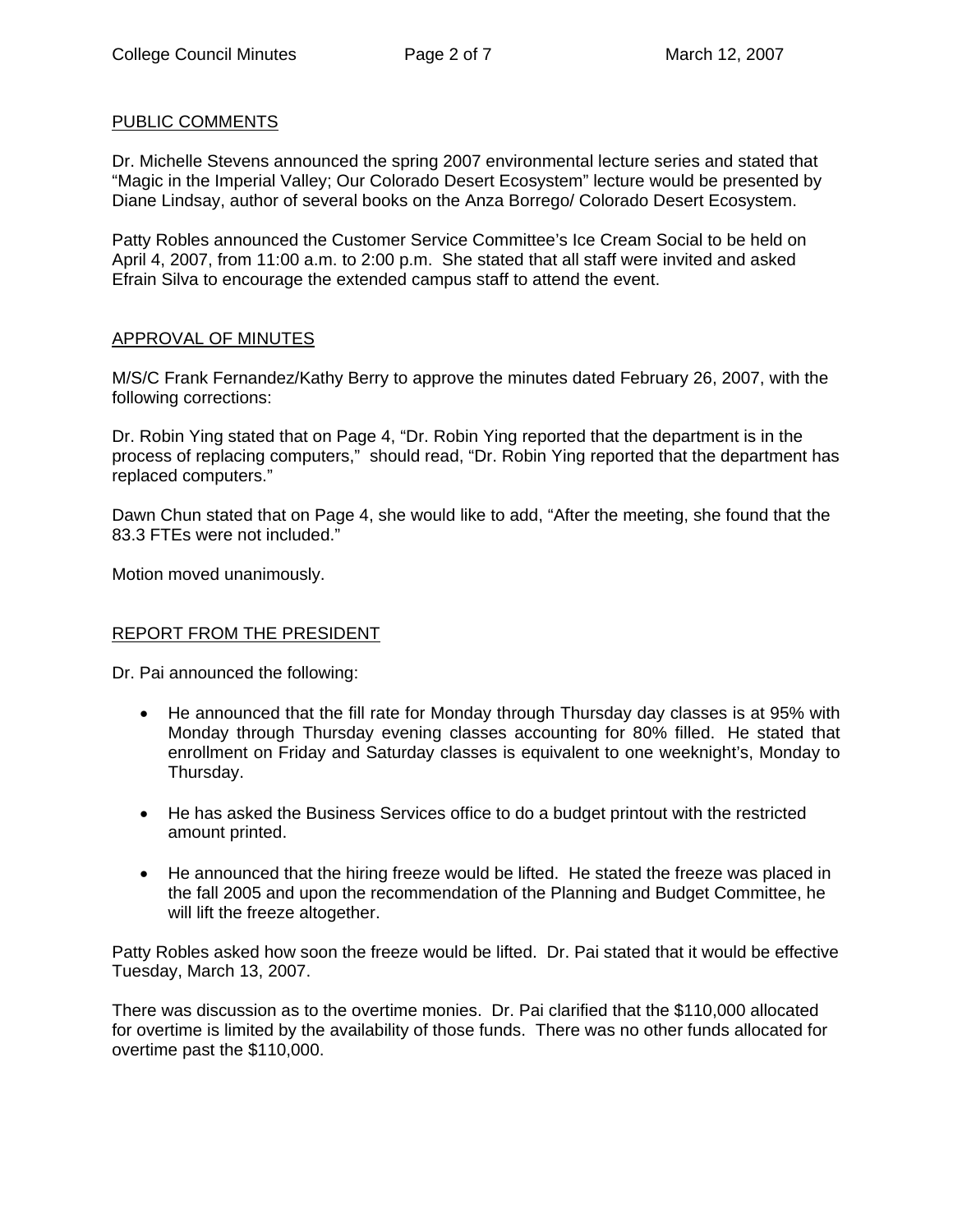#### PUBLIC COMMENTS

Dr. Michelle Stevens announced the spring 2007 environmental lecture series and stated that "Magic in the Imperial Valley; Our Colorado Desert Ecosystem" lecture would be presented by Diane Lindsay, author of several books on the Anza Borrego/ Colorado Desert Ecosystem.

Patty Robles announced the Customer Service Committee's Ice Cream Social to be held on April 4, 2007, from 11:00 a.m. to 2:00 p.m. She stated that all staff were invited and asked Efrain Silva to encourage the extended campus staff to attend the event.

### APPROVAL OF MINUTES

M/S/C Frank Fernandez/Kathy Berry to approve the minutes dated February 26, 2007, with the following corrections:

Dr. Robin Ying stated that on Page 4, "Dr. Robin Ying reported that the department is in the process of replacing computers," should read, "Dr. Robin Ying reported that the department has replaced computers."

Dawn Chun stated that on Page 4, she would like to add, "After the meeting, she found that the 83.3 FTEs were not included."

Motion moved unanimously.

### REPORT FROM THE PRESIDENT

Dr. Pai announced the following:

- He announced that the fill rate for Monday through Thursday day classes is at 95% with Monday through Thursday evening classes accounting for 80% filled. He stated that enrollment on Friday and Saturday classes is equivalent to one weeknight's, Monday to Thursday.
- He has asked the Business Services office to do a budget printout with the restricted amount printed.
- He announced that the hiring freeze would be lifted. He stated the freeze was placed in the fall 2005 and upon the recommendation of the Planning and Budget Committee, he will lift the freeze altogether.

Patty Robles asked how soon the freeze would be lifted. Dr. Pai stated that it would be effective Tuesday, March 13, 2007.

There was discussion as to the overtime monies. Dr. Pai clarified that the \$110,000 allocated for overtime is limited by the availability of those funds. There was no other funds allocated for overtime past the \$110,000.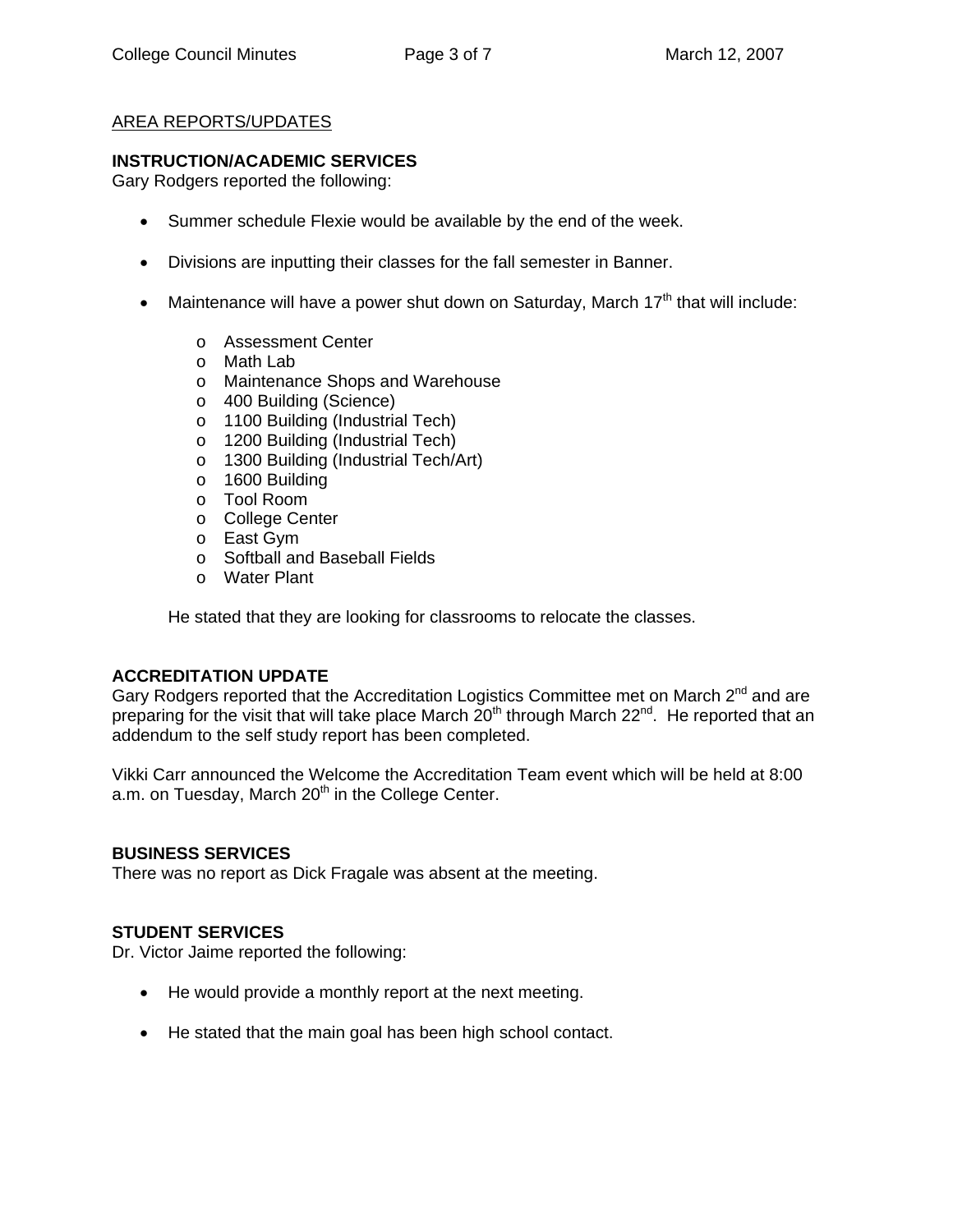### AREA REPORTS/UPDATES

### **INSTRUCTION/ACADEMIC SERVICES**

Gary Rodgers reported the following:

- Summer schedule Flexie would be available by the end of the week.
- Divisions are inputting their classes for the fall semester in Banner.
- Maintenance will have a power shut down on Saturday, March  $17<sup>th</sup>$  that will include:
	- o Assessment Center
	- o Math Lab
	- o Maintenance Shops and Warehouse
	- o 400 Building (Science)
	- o 1100 Building (Industrial Tech)
	- o 1200 Building (Industrial Tech)
	- o 1300 Building (Industrial Tech/Art)
	- o 1600 Building
	- o Tool Room
	- o College Center
	- o East Gym
	- o Softball and Baseball Fields
	- o Water Plant

He stated that they are looking for classrooms to relocate the classes.

# **ACCREDITATION UPDATE**

Gary Rodgers reported that the Accreditation Logistics Committee met on March 2<sup>nd</sup> and are preparing for the visit that will take place March  $20<sup>th</sup>$  through March  $22<sup>nd</sup>$ . He reported that an addendum to the self study report has been completed.

Vikki Carr announced the Welcome the Accreditation Team event which will be held at 8:00 a.m. on Tuesday, March 20<sup>th</sup> in the College Center.

### **BUSINESS SERVICES**

There was no report as Dick Fragale was absent at the meeting.

# **STUDENT SERVICES**

Dr. Victor Jaime reported the following:

- He would provide a monthly report at the next meeting.
- He stated that the main goal has been high school contact.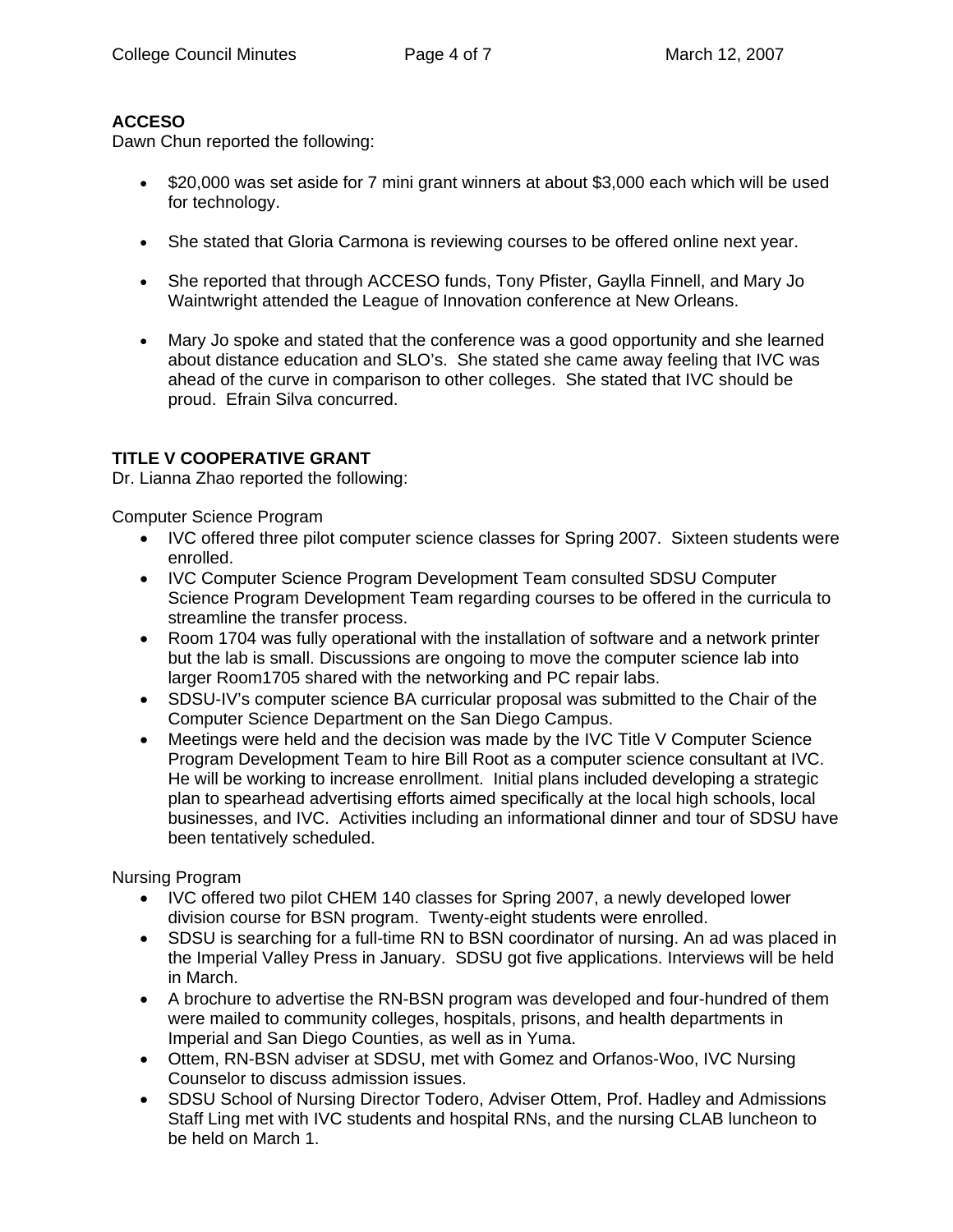### **ACCESO**

Dawn Chun reported the following:

- \$20,000 was set aside for 7 mini grant winners at about \$3,000 each which will be used for technology.
- She stated that Gloria Carmona is reviewing courses to be offered online next year.
- She reported that through ACCESO funds, Tony Pfister, Gaylla Finnell, and Mary Jo Waintwright attended the League of Innovation conference at New Orleans.
- Mary Jo spoke and stated that the conference was a good opportunity and she learned about distance education and SLO's. She stated she came away feeling that IVC was ahead of the curve in comparison to other colleges. She stated that IVC should be proud. Efrain Silva concurred.

# **TITLE V COOPERATIVE GRANT**

Dr. Lianna Zhao reported the following:

Computer Science Program

- IVC offered three pilot computer science classes for Spring 2007. Sixteen students were enrolled.
- IVC Computer Science Program Development Team consulted SDSU Computer Science Program Development Team regarding courses to be offered in the curricula to streamline the transfer process.
- Room 1704 was fully operational with the installation of software and a network printer but the lab is small. Discussions are ongoing to move the computer science lab into larger Room1705 shared with the networking and PC repair labs.
- SDSU-IV's computer science BA curricular proposal was submitted to the Chair of the Computer Science Department on the San Diego Campus.
- Meetings were held and the decision was made by the IVC Title V Computer Science Program Development Team to hire Bill Root as a computer science consultant at IVC. He will be working to increase enrollment. Initial plans included developing a strategic plan to spearhead advertising efforts aimed specifically at the local high schools, local businesses, and IVC. Activities including an informational dinner and tour of SDSU have been tentatively scheduled.

Nursing Program

- IVC offered two pilot CHEM 140 classes for Spring 2007, a newly developed lower division course for BSN program. Twenty-eight students were enrolled.
- SDSU is searching for a full-time RN to BSN coordinator of nursing. An ad was placed in the Imperial Valley Press in January. SDSU got five applications. Interviews will be held in March.
- A brochure to advertise the RN-BSN program was developed and four-hundred of them were mailed to community colleges, hospitals, prisons, and health departments in Imperial and San Diego Counties, as well as in Yuma.
- Ottem, RN-BSN adviser at SDSU, met with Gomez and Orfanos-Woo, IVC Nursing Counselor to discuss admission issues.
- SDSU School of Nursing Director Todero, Adviser Ottem, Prof. Hadley and Admissions Staff Ling met with IVC students and hospital RNs, and the nursing CLAB luncheon to be held on March 1.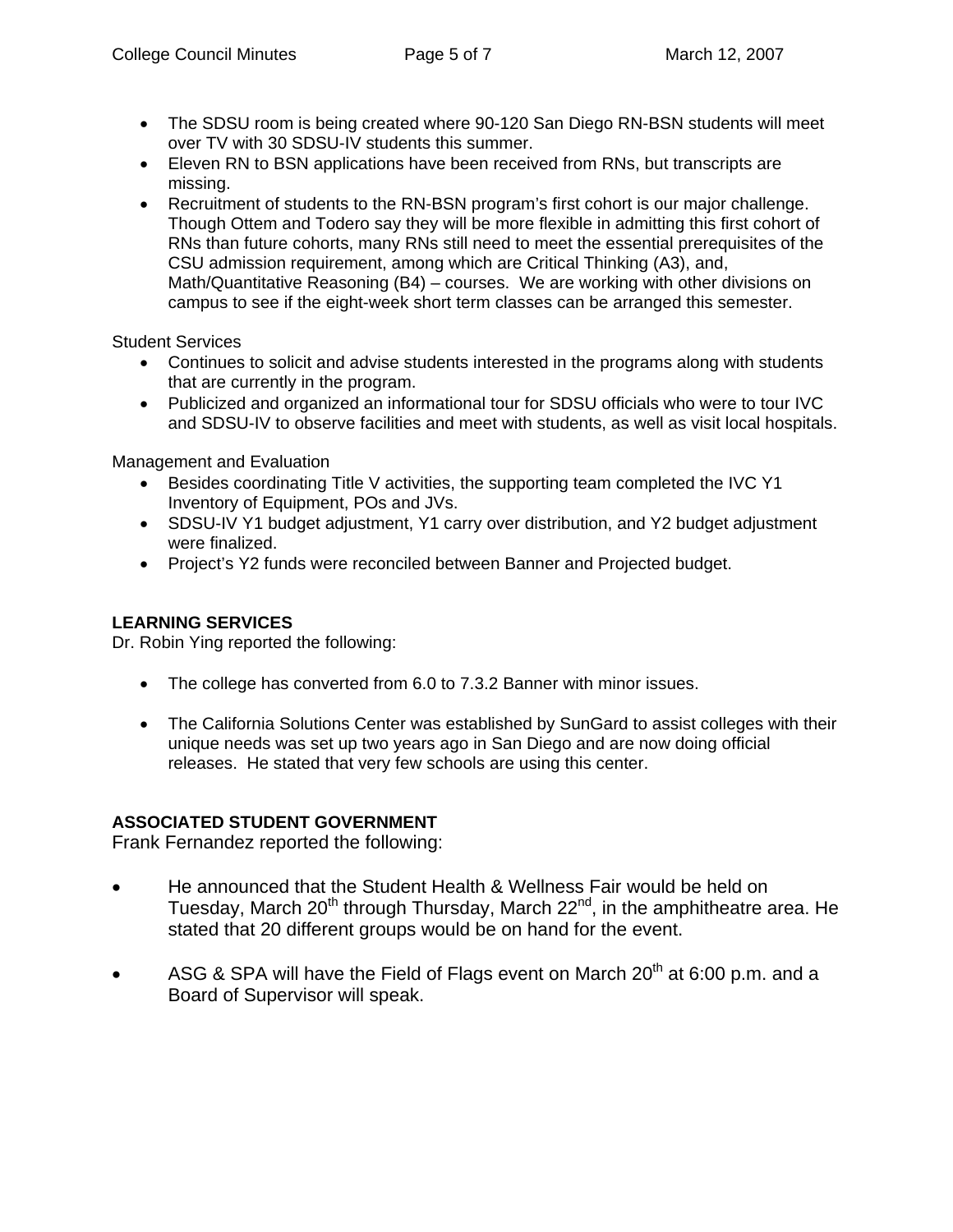- The SDSU room is being created where 90-120 San Diego RN-BSN students will meet over TV with 30 SDSU-IV students this summer.
- Eleven RN to BSN applications have been received from RNs, but transcripts are missing.
- Recruitment of students to the RN-BSN program's first cohort is our major challenge. Though Ottem and Todero say they will be more flexible in admitting this first cohort of RNs than future cohorts, many RNs still need to meet the essential prerequisites of the CSU admission requirement, among which are Critical Thinking (A3), and, Math/Quantitative Reasoning (B4) – courses. We are working with other divisions on campus to see if the eight-week short term classes can be arranged this semester.

Student Services

- Continues to solicit and advise students interested in the programs along with students that are currently in the program.
- Publicized and organized an informational tour for SDSU officials who were to tour IVC and SDSU-IV to observe facilities and meet with students, as well as visit local hospitals.

Management and Evaluation

- Besides coordinating Title V activities, the supporting team completed the IVC Y1 Inventory of Equipment, POs and JVs.
- SDSU-IV Y1 budget adjustment, Y1 carry over distribution, and Y2 budget adjustment were finalized.
- Project's Y2 funds were reconciled between Banner and Projected budget.

# **LEARNING SERVICES**

Dr. Robin Ying reported the following:

- The college has converted from 6.0 to 7.3.2 Banner with minor issues.
- The California Solutions Center was established by SunGard to assist colleges with their unique needs was set up two years ago in San Diego and are now doing official releases. He stated that very few schools are using this center.

# **ASSOCIATED STUDENT GOVERNMENT**

Frank Fernandez reported the following:

- He announced that the Student Health & Wellness Fair would be held on Tuesday, March 20<sup>th</sup> through Thursday, March 22<sup>nd</sup>, in the amphitheatre area. He stated that 20 different groups would be on hand for the event.
- ASG & SPA will have the Field of Flags event on March  $20<sup>th</sup>$  at 6:00 p.m. and a Board of Supervisor will speak.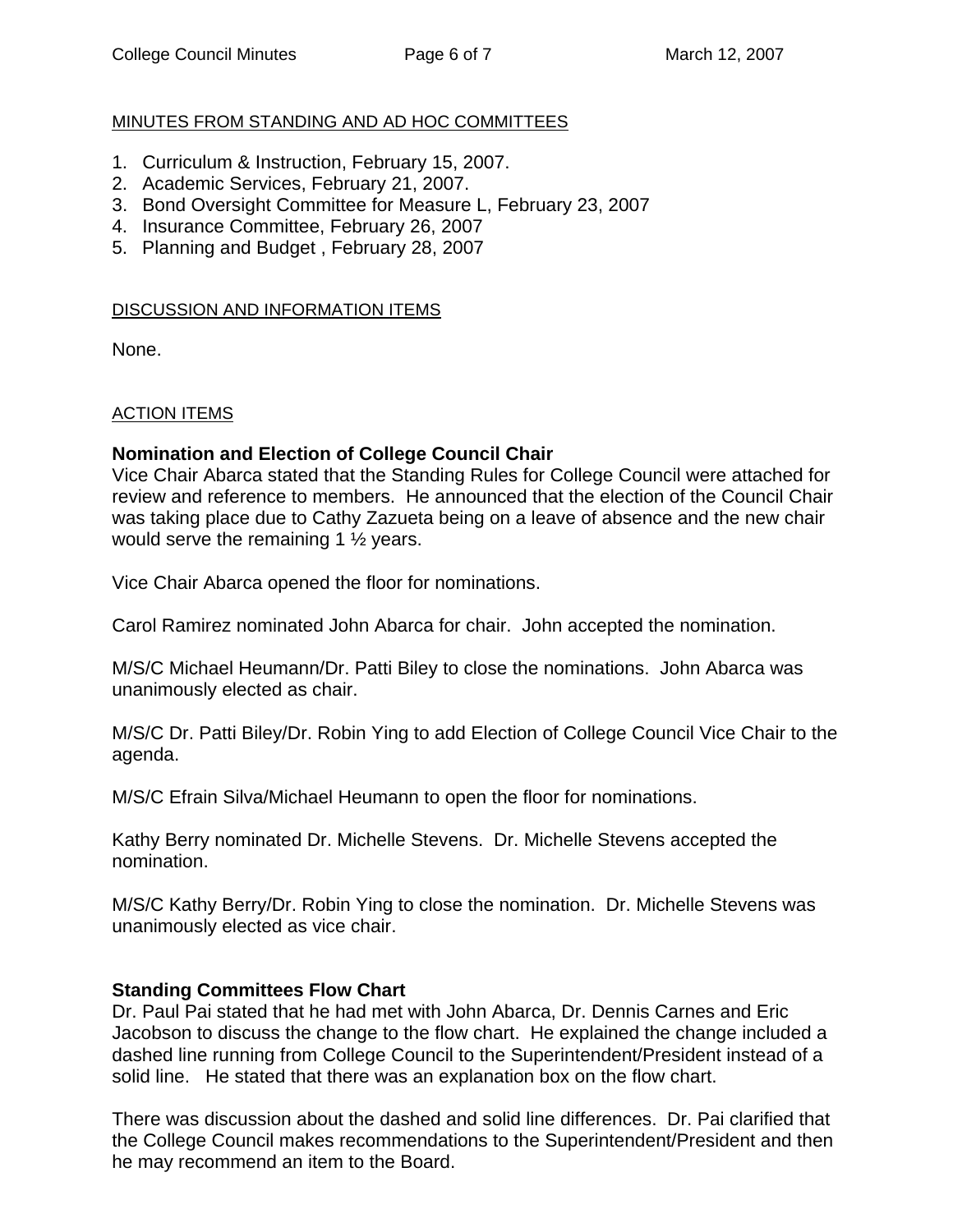# MINUTES FROM STANDING AND AD HOC COMMITTEES

- 1. Curriculum & Instruction, February 15, 2007.
- 2. Academic Services, February 21, 2007.
- 3. Bond Oversight Committee for Measure L, February 23, 2007
- 4. Insurance Committee, February 26, 2007
- 5. Planning and Budget , February 28, 2007

### DISCUSSION AND INFORMATION ITEMS

None.

### ACTION ITEMS

# **Nomination and Election of College Council Chair**

Vice Chair Abarca stated that the Standing Rules for College Council were attached for review and reference to members. He announced that the election of the Council Chair was taking place due to Cathy Zazueta being on a leave of absence and the new chair would serve the remaining 1 ½ years.

Vice Chair Abarca opened the floor for nominations.

Carol Ramirez nominated John Abarca for chair. John accepted the nomination.

M/S/C Michael Heumann/Dr. Patti Biley to close the nominations. John Abarca was unanimously elected as chair.

M/S/C Dr. Patti Biley/Dr. Robin Ying to add Election of College Council Vice Chair to the agenda.

M/S/C Efrain Silva/Michael Heumann to open the floor for nominations.

Kathy Berry nominated Dr. Michelle Stevens. Dr. Michelle Stevens accepted the nomination.

M/S/C Kathy Berry/Dr. Robin Ying to close the nomination. Dr. Michelle Stevens was unanimously elected as vice chair.

# **Standing Committees Flow Chart**

Dr. Paul Pai stated that he had met with John Abarca, Dr. Dennis Carnes and Eric Jacobson to discuss the change to the flow chart. He explained the change included a dashed line running from College Council to the Superintendent/President instead of a solid line. He stated that there was an explanation box on the flow chart.

There was discussion about the dashed and solid line differences. Dr. Pai clarified that the College Council makes recommendations to the Superintendent/President and then he may recommend an item to the Board.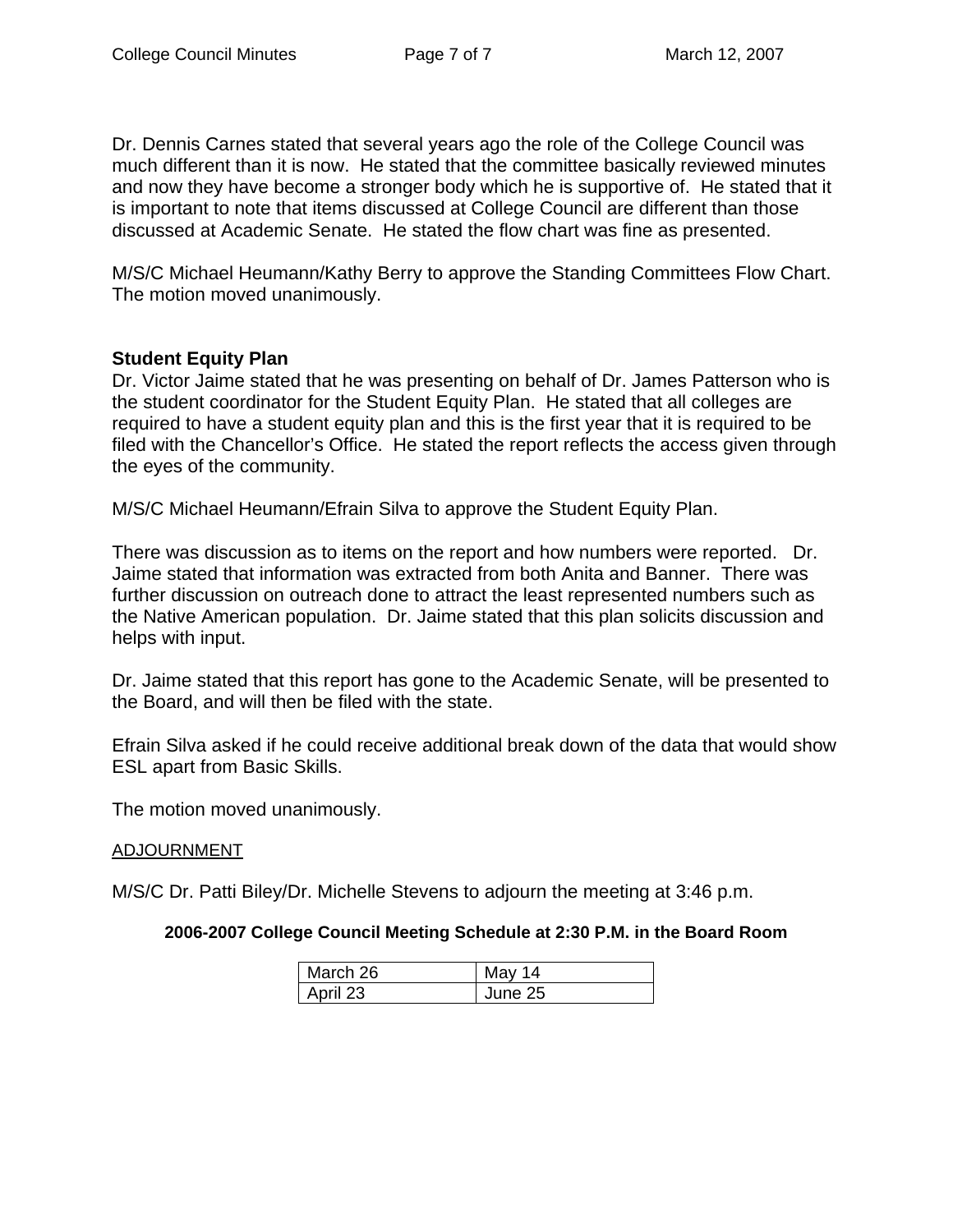Dr. Dennis Carnes stated that several years ago the role of the College Council was much different than it is now. He stated that the committee basically reviewed minutes and now they have become a stronger body which he is supportive of. He stated that it is important to note that items discussed at College Council are different than those discussed at Academic Senate. He stated the flow chart was fine as presented.

M/S/C Michael Heumann/Kathy Berry to approve the Standing Committees Flow Chart. The motion moved unanimously.

# **Student Equity Plan**

Dr. Victor Jaime stated that he was presenting on behalf of Dr. James Patterson who is the student coordinator for the Student Equity Plan. He stated that all colleges are required to have a student equity plan and this is the first year that it is required to be filed with the Chancellor's Office. He stated the report reflects the access given through the eyes of the community.

M/S/C Michael Heumann/Efrain Silva to approve the Student Equity Plan.

There was discussion as to items on the report and how numbers were reported. Dr. Jaime stated that information was extracted from both Anita and Banner. There was further discussion on outreach done to attract the least represented numbers such as the Native American population. Dr. Jaime stated that this plan solicits discussion and helps with input.

Dr. Jaime stated that this report has gone to the Academic Senate, will be presented to the Board, and will then be filed with the state.

Efrain Silva asked if he could receive additional break down of the data that would show ESL apart from Basic Skills.

The motion moved unanimously.

### ADJOURNMENT

M/S/C Dr. Patti Biley/Dr. Michelle Stevens to adjourn the meeting at 3:46 p.m.

### **2006-2007 College Council Meeting Schedule at 2:30 P.M. in the Board Room**

| March 26 | 14      |
|----------|---------|
| April 23 | June 25 |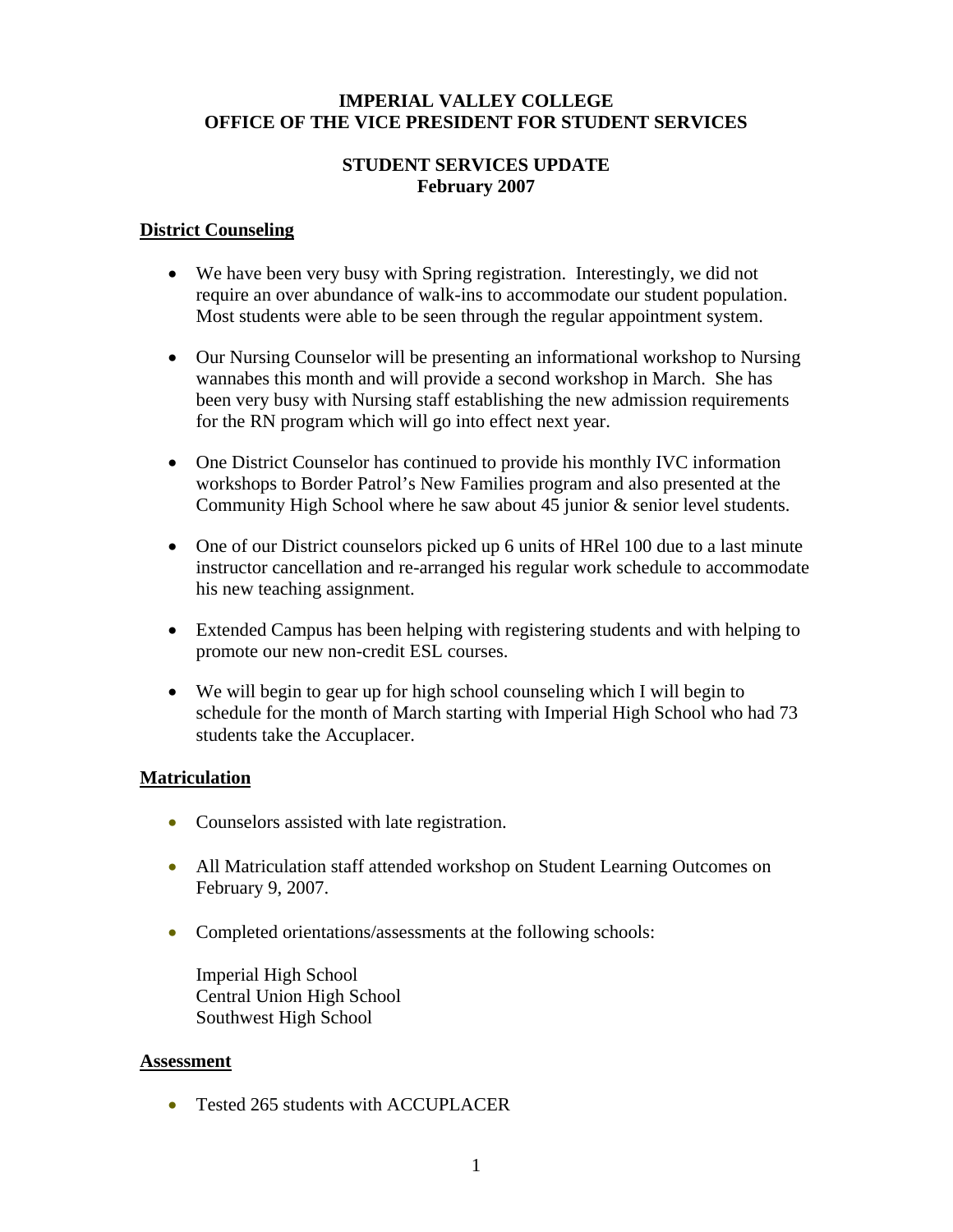### **IMPERIAL VALLEY COLLEGE OFFICE OF THE VICE PRESIDENT FOR STUDENT SERVICES**

### **STUDENT SERVICES UPDATE February 2007**

### **District Counseling**

- We have been very busy with Spring registration. Interestingly, we did not require an over abundance of walk-ins to accommodate our student population. Most students were able to be seen through the regular appointment system.
- Our Nursing Counselor will be presenting an informational workshop to Nursing wannabes this month and will provide a second workshop in March. She has been very busy with Nursing staff establishing the new admission requirements for the RN program which will go into effect next year.
- One District Counselor has continued to provide his monthly IVC information workshops to Border Patrol's New Families program and also presented at the Community High School where he saw about 45 junior & senior level students.
- One of our District counselors picked up 6 units of HRel 100 due to a last minute instructor cancellation and re-arranged his regular work schedule to accommodate his new teaching assignment.
- Extended Campus has been helping with registering students and with helping to promote our new non-credit ESL courses.
- We will begin to gear up for high school counseling which I will begin to schedule for the month of March starting with Imperial High School who had 73 students take the Accuplacer.

# **Matriculation**

- Counselors assisted with late registration.
- All Matriculation staff attended workshop on Student Learning Outcomes on February 9, 2007.
- Completed orientations/assessments at the following schools:

Imperial High School Central Union High School Southwest High School

### **Assessment**

• Tested 265 students with ACCUPLACER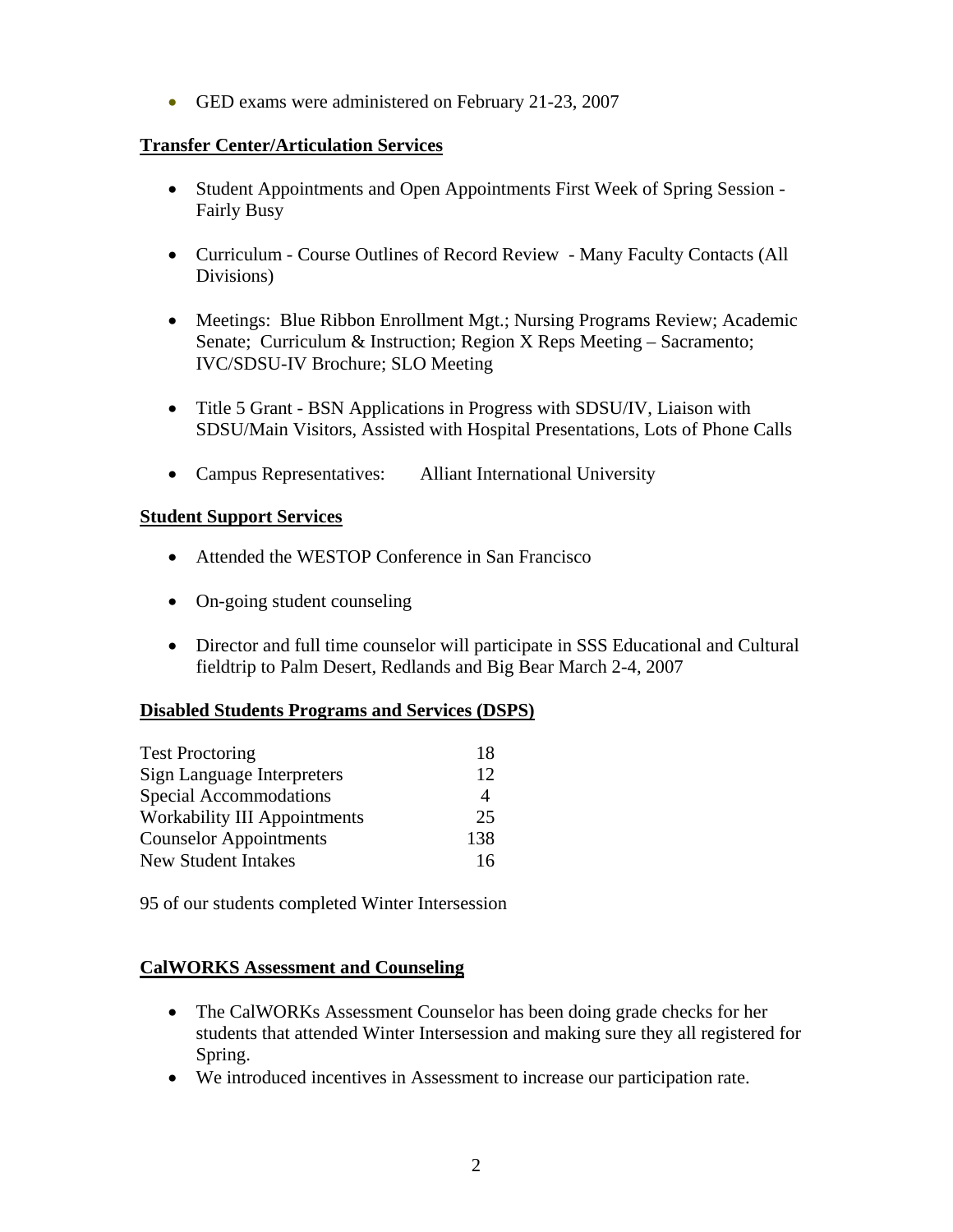• GED exams were administered on February 21-23, 2007

# **Transfer Center/Articulation Services**

- Student Appointments and Open Appointments First Week of Spring Session Fairly Busy
- Curriculum Course Outlines of Record Review Many Faculty Contacts (All Divisions)
- Meetings: Blue Ribbon Enrollment Mgt.; Nursing Programs Review; Academic Senate; Curriculum & Instruction; Region X Reps Meeting – Sacramento; IVC/SDSU-IV Brochure; SLO Meeting
- Title 5 Grant BSN Applications in Progress with SDSU/IV, Liaison with SDSU/Main Visitors, Assisted with Hospital Presentations, Lots of Phone Calls
- Campus Representatives: Alliant International University

# **Student Support Services**

- Attended the WESTOP Conference in San Francisco
- On-going student counseling
- Director and full time counselor will participate in SSS Educational and Cultural fieldtrip to Palm Desert, Redlands and Big Bear March 2-4, 2007

# **Disabled Students Programs and Services (DSPS)**

| <b>Test Proctoring</b>              | 18  |
|-------------------------------------|-----|
| <b>Sign Language Interpreters</b>   | 12  |
| Special Accommodations              | 4   |
| <b>Workability III Appointments</b> | 25  |
| <b>Counselor Appointments</b>       | 138 |
| <b>New Student Intakes</b>          | 16  |

95 of our students completed Winter Intersession

# **CalWORKS Assessment and Counseling**

- The CalWORKs Assessment Counselor has been doing grade checks for her students that attended Winter Intersession and making sure they all registered for Spring.
- We introduced incentives in Assessment to increase our participation rate.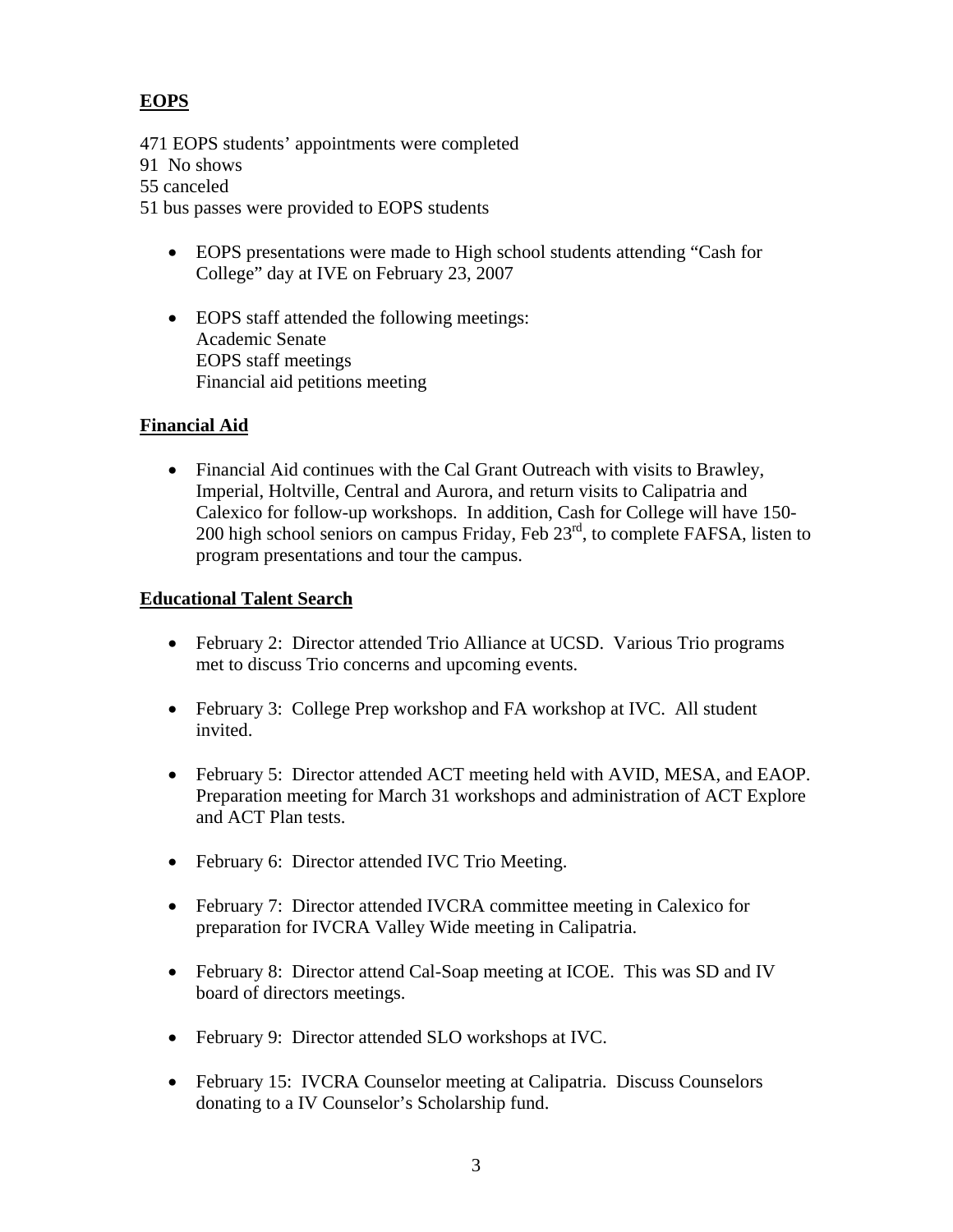# **EOPS**

471 EOPS students' appointments were completed

91 No shows

55 canceled

51 bus passes were provided to EOPS students

- EOPS presentations were made to High school students attending "Cash for College" day at IVE on February 23, 2007
- EOPS staff attended the following meetings: Academic Senate EOPS staff meetings Financial aid petitions meeting

# **Financial Aid**

• Financial Aid continues with the Cal Grant Outreach with visits to Brawley, Imperial, Holtville, Central and Aurora, and return visits to Calipatria and Calexico for follow-up workshops. In addition, Cash for College will have 150- 200 high school seniors on campus Friday, Feb  $23<sup>rd</sup>$ , to complete FAFSA, listen to program presentations and tour the campus.

# **Educational Talent Search**

- February 2: Director attended Trio Alliance at UCSD. Various Trio programs met to discuss Trio concerns and upcoming events.
- February 3: College Prep workshop and FA workshop at IVC. All student invited.
- February 5: Director attended ACT meeting held with AVID, MESA, and EAOP. Preparation meeting for March 31 workshops and administration of ACT Explore and ACT Plan tests.
- February 6: Director attended IVC Trio Meeting.
- February 7: Director attended IVCRA committee meeting in Calexico for preparation for IVCRA Valley Wide meeting in Calipatria.
- February 8: Director attend Cal-Soap meeting at ICOE. This was SD and IV board of directors meetings.
- February 9: Director attended SLO workshops at IVC.
- February 15: IVCRA Counselor meeting at Calipatria. Discuss Counselors donating to a IV Counselor's Scholarship fund.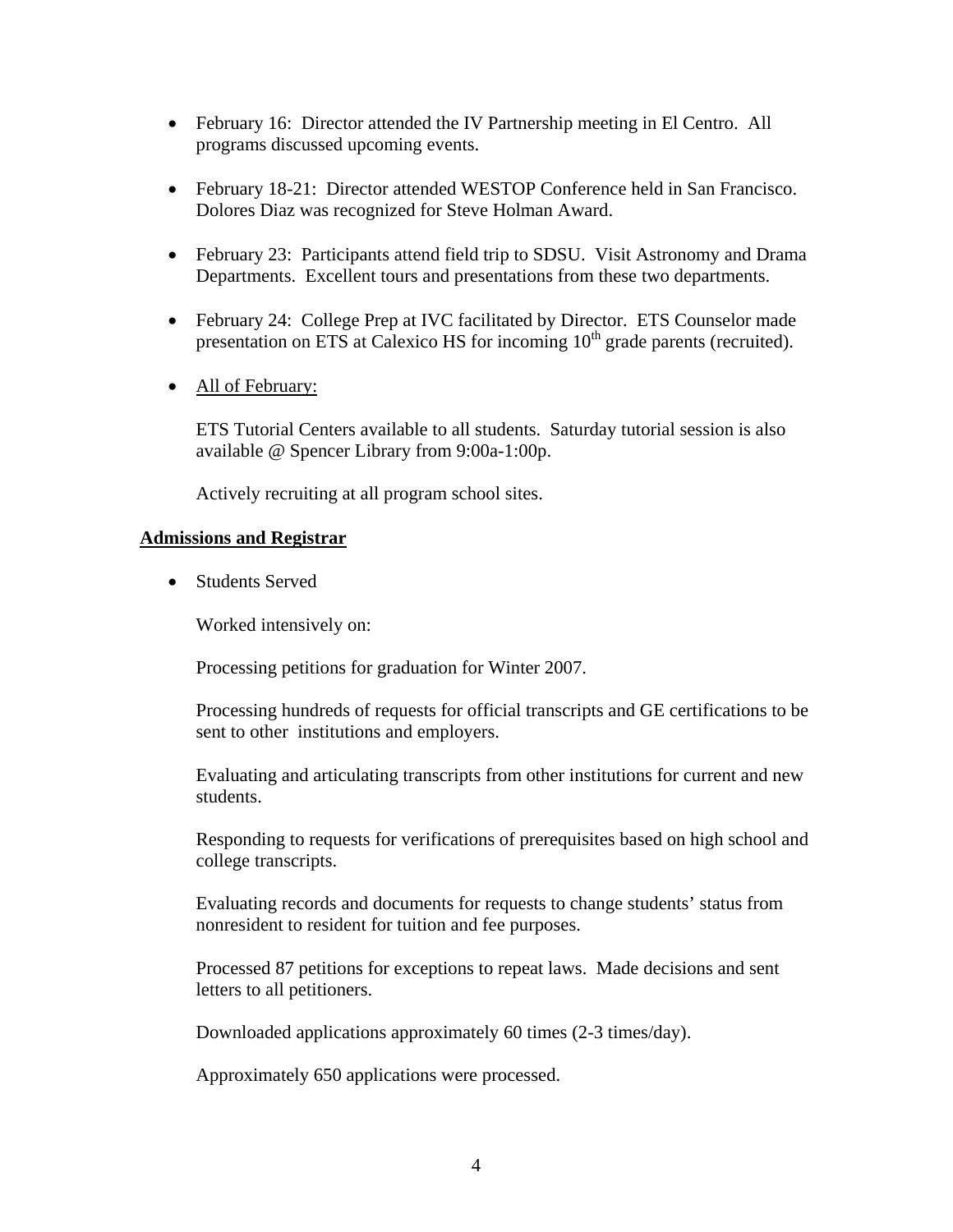- February 16: Director attended the IV Partnership meeting in El Centro. All programs discussed upcoming events.
- February 18-21: Director attended WESTOP Conference held in San Francisco. Dolores Diaz was recognized for Steve Holman Award.
- February 23: Participants attend field trip to SDSU. Visit Astronomy and Drama Departments. Excellent tours and presentations from these two departments.
- February 24: College Prep at IVC facilitated by Director. ETS Counselor made presentation on ETS at Calexico HS for incoming  $10<sup>th</sup>$  grade parents (recruited).
- All of February:

ETS Tutorial Centers available to all students. Saturday tutorial session is also available @ Spencer Library from 9:00a-1:00p.

Actively recruiting at all program school sites.

#### **Admissions and Registrar**

• Students Served

Worked intensively on:

Processing petitions for graduation for Winter 2007.

 Processing hundreds of requests for official transcripts and GE certifications to be sent to other institutions and employers.

Evaluating and articulating transcripts from other institutions for current and new students.

 Responding to requests for verifications of prerequisites based on high school and college transcripts.

 Evaluating records and documents for requests to change students' status from nonresident to resident for tuition and fee purposes.

 Processed 87 petitions for exceptions to repeat laws. Made decisions and sent letters to all petitioners.

Downloaded applications approximately 60 times (2-3 times/day).

Approximately 650 applications were processed.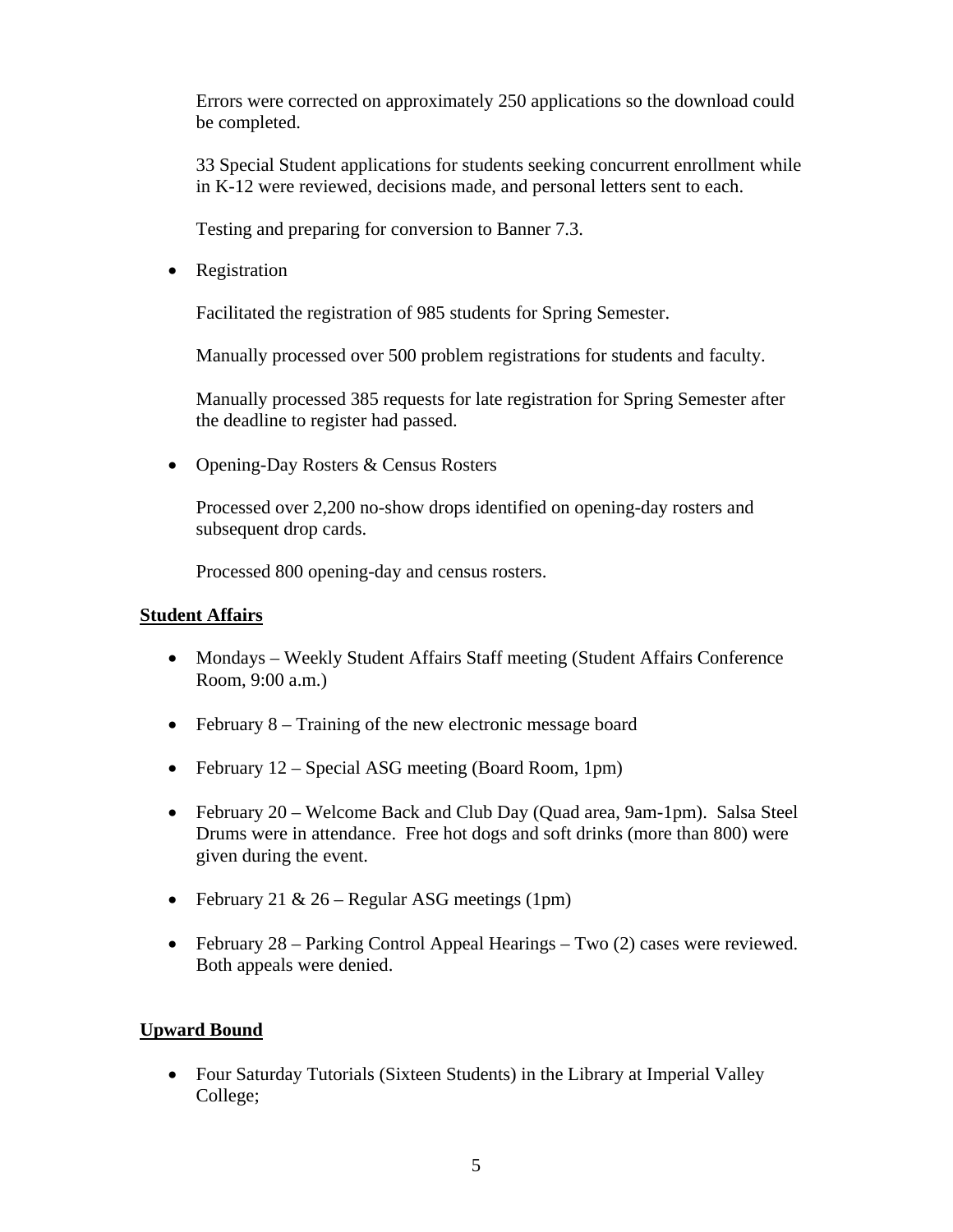Errors were corrected on approximately 250 applications so the download could be completed.

 33 Special Student applications for students seeking concurrent enrollment while in K-12 were reviewed, decisions made, and personal letters sent to each.

Testing and preparing for conversion to Banner 7.3.

• Registration

Facilitated the registration of 985 students for Spring Semester.

Manually processed over 500 problem registrations for students and faculty.

 Manually processed 385 requests for late registration for Spring Semester after the deadline to register had passed.

• Opening-Day Rosters & Census Rosters

 Processed over 2,200 no-show drops identified on opening-day rosters and subsequent drop cards.

Processed 800 opening-day and census rosters.

### **Student Affairs**

- Mondays Weekly Student Affairs Staff meeting (Student Affairs Conference Room, 9:00 a.m.)
- February 8 Training of the new electronic message board
- February 12 Special ASG meeting (Board Room, 1pm)
- February 20 Welcome Back and Club Day (Quad area, 9am-1pm). Salsa Steel Drums were in attendance. Free hot dogs and soft drinks (more than 800) were given during the event.
- February 21 & 26 Regular ASG meetings (1pm)
- February  $28$  Parking Control Appeal Hearings Two  $(2)$  cases were reviewed. Both appeals were denied.

# **Upward Bound**

• Four Saturday Tutorials (Sixteen Students) in the Library at Imperial Valley College;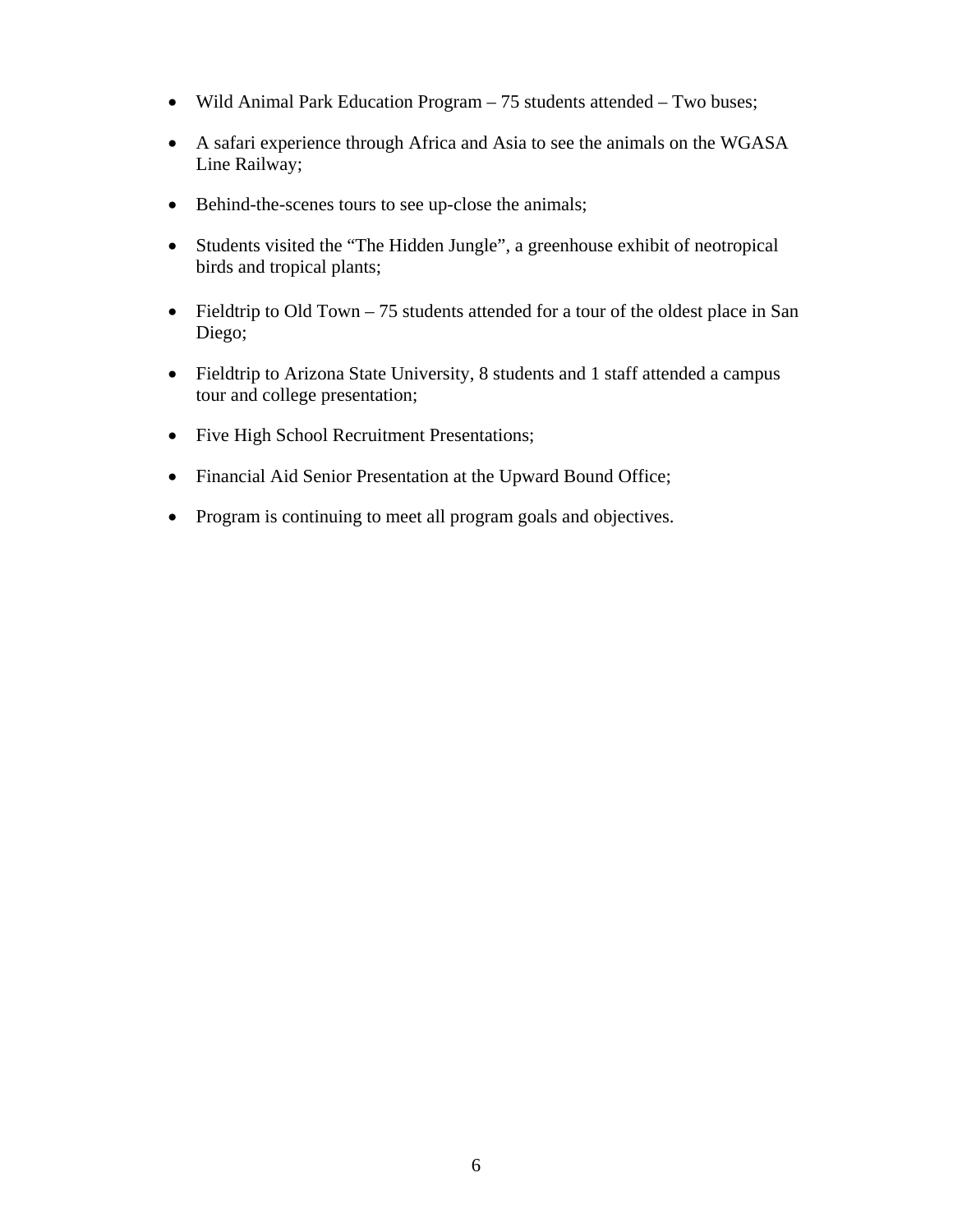- Wild Animal Park Education Program 75 students attended Two buses;
- A safari experience through Africa and Asia to see the animals on the WGASA Line Railway;
- Behind-the-scenes tours to see up-close the animals;
- Students visited the "The Hidden Jungle", a greenhouse exhibit of neotropical birds and tropical plants;
- Fieldtrip to Old Town 75 students attended for a tour of the oldest place in San Diego;
- Fieldtrip to Arizona State University, 8 students and 1 staff attended a campus tour and college presentation;
- Five High School Recruitment Presentations;
- Financial Aid Senior Presentation at the Upward Bound Office;
- Program is continuing to meet all program goals and objectives.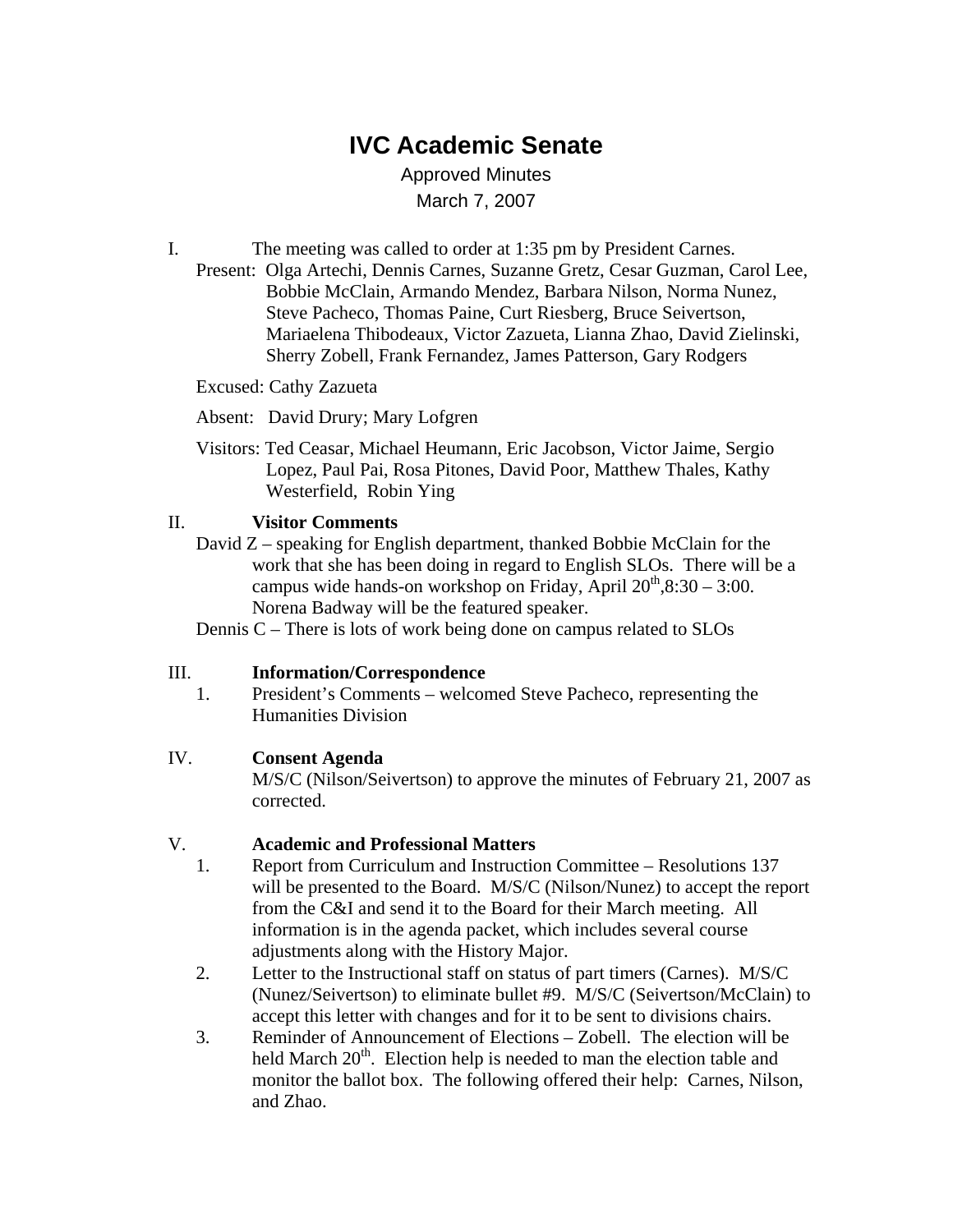# **IVC Academic Senate**

Approved Minutes March 7, 2007

- I. The meeting was called to order at 1:35 pm by President Carnes.
	- Present: Olga Artechi, Dennis Carnes, Suzanne Gretz, Cesar Guzman, Carol Lee, Bobbie McClain, Armando Mendez, Barbara Nilson, Norma Nunez, Steve Pacheco, Thomas Paine, Curt Riesberg, Bruce Seivertson, Mariaelena Thibodeaux, Victor Zazueta, Lianna Zhao, David Zielinski, Sherry Zobell, Frank Fernandez, James Patterson, Gary Rodgers
	- Excused: Cathy Zazueta
	- Absent: David Drury; Mary Lofgren
	- Visitors: Ted Ceasar, Michael Heumann, Eric Jacobson, Victor Jaime, Sergio Lopez, Paul Pai, Rosa Pitones, David Poor, Matthew Thales, Kathy Westerfield, Robin Ying

### II. **Visitor Comments**

David Z – speaking for English department, thanked Bobbie McClain for the work that she has been doing in regard to English SLOs. There will be a campus wide hands-on workshop on Friday, April  $20^{th}$ ,  $8:30 - 3:00$ . Norena Badway will be the featured speaker.

Dennis C – There is lots of work being done on campus related to SLOs

### III. **Information/Correspondence**

1. President's Comments – welcomed Steve Pacheco, representing the Humanities Division

### IV. **Consent Agenda**

M/S/C (Nilson/Seivertson) to approve the minutes of February 21, 2007 as corrected.

### V. **Academic and Professional Matters**

- 1. Report from Curriculum and Instruction Committee Resolutions 137 will be presented to the Board. M/S/C (Nilson/Nunez) to accept the report from the C&I and send it to the Board for their March meeting. All information is in the agenda packet, which includes several course adjustments along with the History Major.
- 2. Letter to the Instructional staff on status of part timers (Carnes). M/S/C (Nunez/Seivertson) to eliminate bullet #9. M/S/C (Seivertson/McClain) to accept this letter with changes and for it to be sent to divisions chairs.
- 3. Reminder of Announcement of Elections Zobell. The election will be held March  $20<sup>th</sup>$ . Election help is needed to man the election table and monitor the ballot box. The following offered their help: Carnes, Nilson, and Zhao.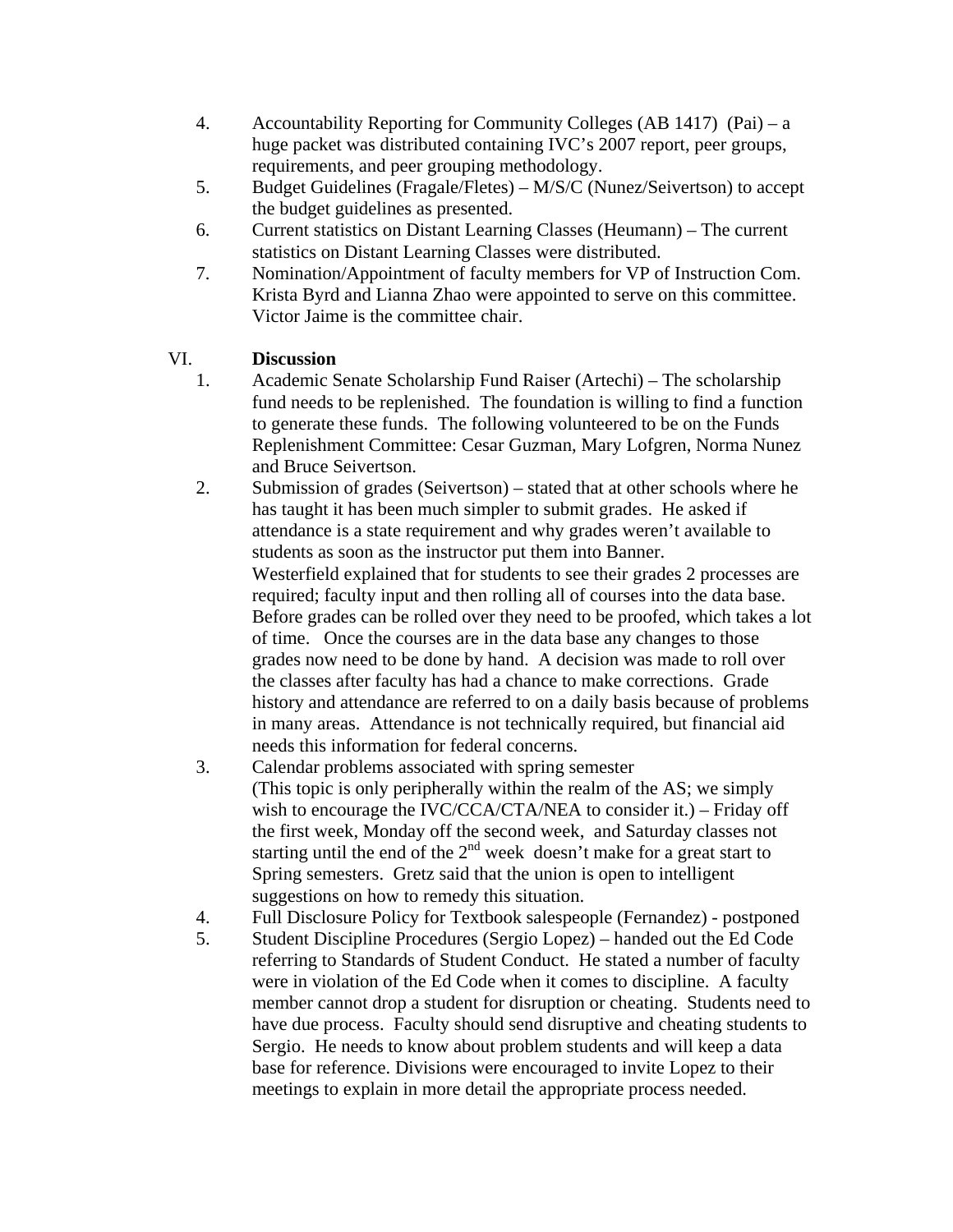- 4. Accountability Reporting for Community Colleges (AB 1417) (Pai) a huge packet was distributed containing IVC's 2007 report, peer groups, requirements, and peer grouping methodology.
- 5. Budget Guidelines (Fragale/Fletes) M/S/C (Nunez/Seivertson) to accept the budget guidelines as presented.
- 6. Current statistics on Distant Learning Classes (Heumann) The current statistics on Distant Learning Classes were distributed.
- 7. Nomination/Appointment of faculty members for VP of Instruction Com. Krista Byrd and Lianna Zhao were appointed to serve on this committee. Victor Jaime is the committee chair.

# VI. **Discussion**

- 1. Academic Senate Scholarship Fund Raiser (Artechi) The scholarship fund needs to be replenished. The foundation is willing to find a function to generate these funds. The following volunteered to be on the Funds Replenishment Committee: Cesar Guzman, Mary Lofgren, Norma Nunez and Bruce Seivertson.
- 2. Submission of grades (Seivertson) stated that at other schools where he has taught it has been much simpler to submit grades. He asked if attendance is a state requirement and why grades weren't available to students as soon as the instructor put them into Banner. Westerfield explained that for students to see their grades 2 processes are required; faculty input and then rolling all of courses into the data base. Before grades can be rolled over they need to be proofed, which takes a lot of time. Once the courses are in the data base any changes to those grades now need to be done by hand. A decision was made to roll over the classes after faculty has had a chance to make corrections. Grade history and attendance are referred to on a daily basis because of problems in many areas. Attendance is not technically required, but financial aid needs this information for federal concerns.
- 3. Calendar problems associated with spring semester (This topic is only peripherally within the realm of the AS; we simply wish to encourage the IVC/CCA/CTA/NEA to consider it.) – Friday off the first week, Monday off the second week, and Saturday classes not starting until the end of the  $2<sup>nd</sup>$  week doesn't make for a great start to Spring semesters. Gretz said that the union is open to intelligent suggestions on how to remedy this situation.
- 4. Full Disclosure Policy for Textbook salespeople (Fernandez) postponed
- 5. Student Discipline Procedures (Sergio Lopez) handed out the Ed Code referring to Standards of Student Conduct. He stated a number of faculty were in violation of the Ed Code when it comes to discipline. A faculty member cannot drop a student for disruption or cheating. Students need to have due process. Faculty should send disruptive and cheating students to Sergio. He needs to know about problem students and will keep a data base for reference. Divisions were encouraged to invite Lopez to their meetings to explain in more detail the appropriate process needed.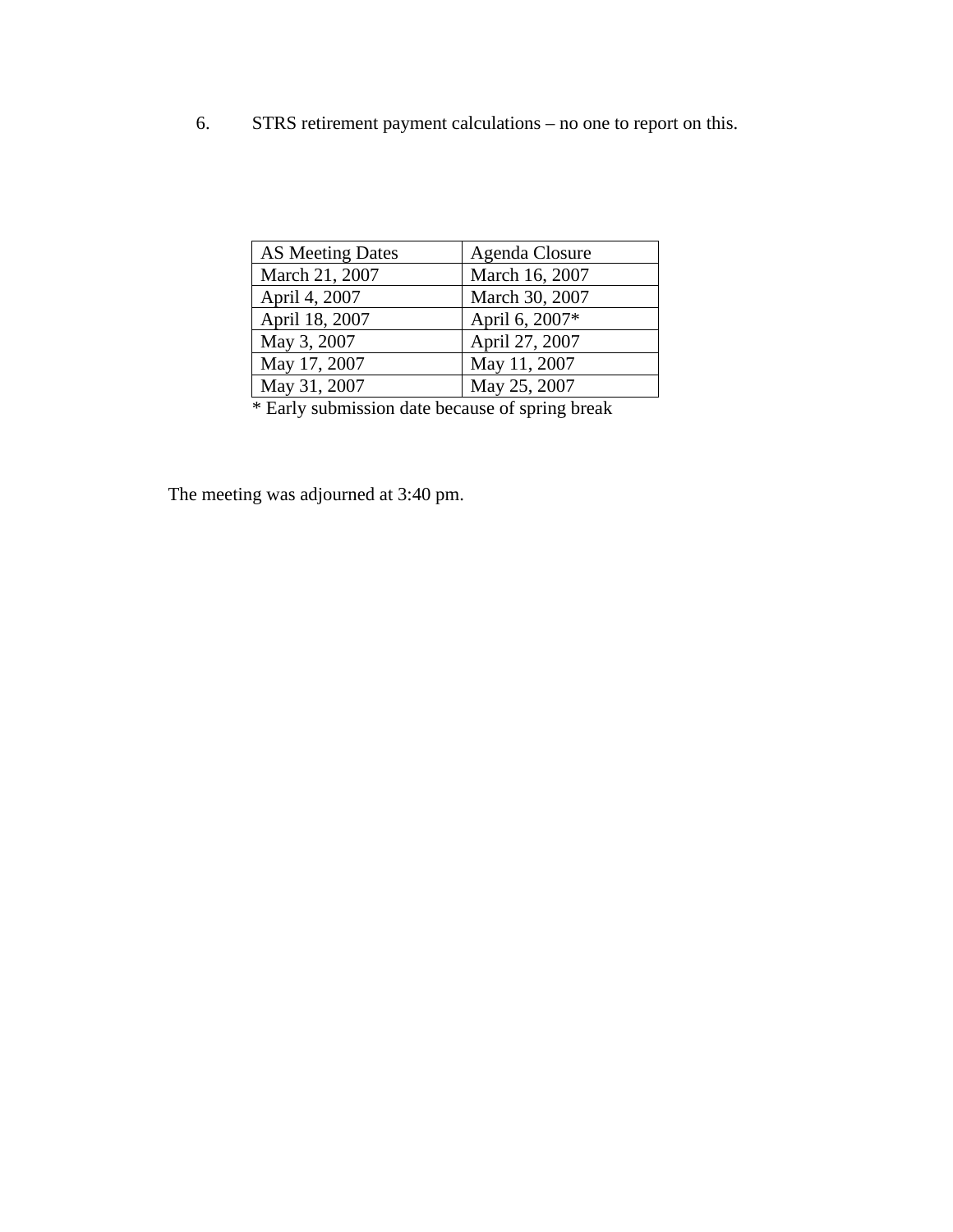6. STRS retirement payment calculations – no one to report on this.

| <b>AS Meeting Dates</b> | Agenda Closure |
|-------------------------|----------------|
| March 21, 2007          | March 16, 2007 |
| April 4, 2007           | March 30, 2007 |
| April 18, 2007          | April 6, 2007* |
| May 3, 2007             | April 27, 2007 |
| May 17, 2007            | May 11, 2007   |
| May 31, 2007            | May 25, 2007   |

\* Early submission date because of spring break

The meeting was adjourned at 3:40 pm.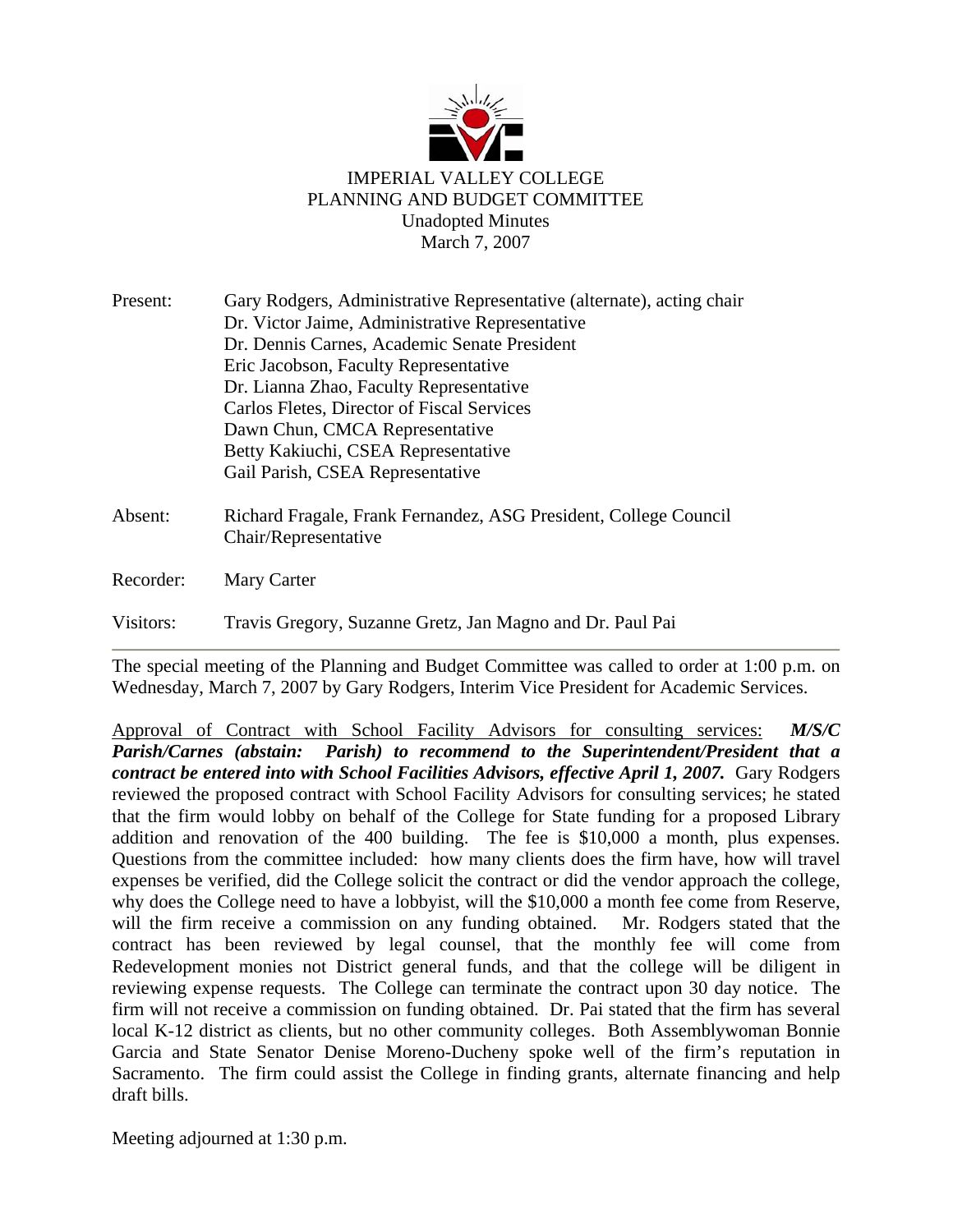

| Present:  | Gary Rodgers, Administrative Representative (alternate), acting chair                    |
|-----------|------------------------------------------------------------------------------------------|
|           | Dr. Victor Jaime, Administrative Representative                                          |
|           | Dr. Dennis Carnes, Academic Senate President                                             |
|           | Eric Jacobson, Faculty Representative                                                    |
|           | Dr. Lianna Zhao, Faculty Representative                                                  |
|           | Carlos Fletes, Director of Fiscal Services                                               |
|           | Dawn Chun, CMCA Representative                                                           |
|           | Betty Kakiuchi, CSEA Representative                                                      |
|           | Gail Parish, CSEA Representative                                                         |
| Absent:   | Richard Fragale, Frank Fernandez, ASG President, College Council<br>Chair/Representative |
| Recorder: | Mary Carter                                                                              |
| Visitors: | Travis Gregory, Suzanne Gretz, Jan Magno and Dr. Paul Pai                                |

The special meeting of the Planning and Budget Committee was called to order at 1:00 p.m. on Wednesday, March 7, 2007 by Gary Rodgers, Interim Vice President for Academic Services.

Approval of Contract with School Facility Advisors for consulting services: *M/S/C Parish/Carnes (abstain: Parish) to recommend to the Superintendent/President that a contract be entered into with School Facilities Advisors, effective April 1, 2007.* Gary Rodgers reviewed the proposed contract with School Facility Advisors for consulting services; he stated that the firm would lobby on behalf of the College for State funding for a proposed Library addition and renovation of the 400 building. The fee is \$10,000 a month, plus expenses. Questions from the committee included: how many clients does the firm have, how will travel expenses be verified, did the College solicit the contract or did the vendor approach the college, why does the College need to have a lobbyist, will the \$10,000 a month fee come from Reserve, will the firm receive a commission on any funding obtained. Mr. Rodgers stated that the contract has been reviewed by legal counsel, that the monthly fee will come from Redevelopment monies not District general funds, and that the college will be diligent in reviewing expense requests. The College can terminate the contract upon 30 day notice. The firm will not receive a commission on funding obtained. Dr. Pai stated that the firm has several local K-12 district as clients, but no other community colleges. Both Assemblywoman Bonnie Garcia and State Senator Denise Moreno-Ducheny spoke well of the firm's reputation in Sacramento. The firm could assist the College in finding grants, alternate financing and help draft bills.

Meeting adjourned at 1:30 p.m.